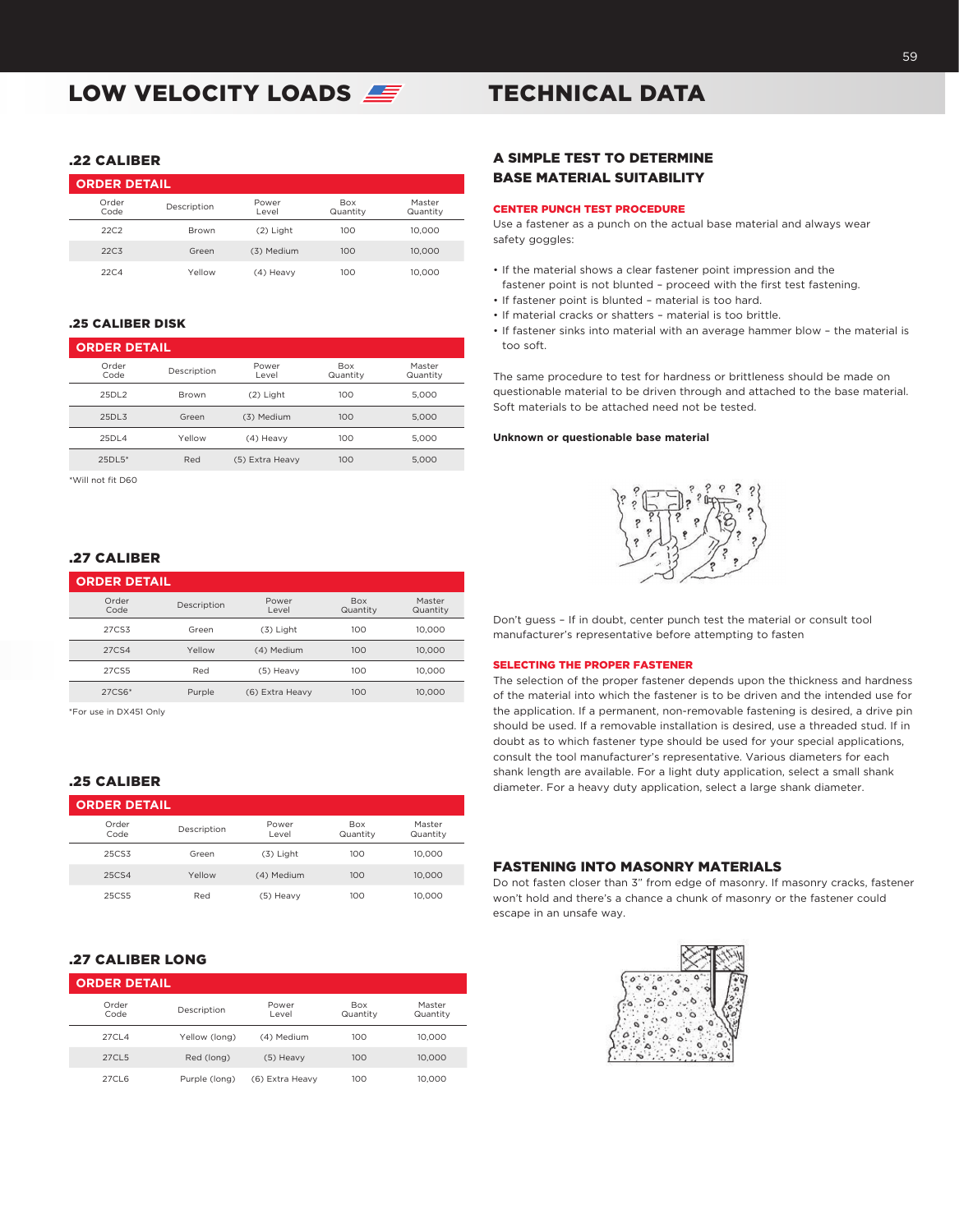# LOW VELOCITY LOADS

## .22 CALIBER

| <b>ORDER DETAIL</b> |              |                |                        |                    |  |
|---------------------|--------------|----------------|------------------------|--------------------|--|
| Order<br>Code       | Description  | Power<br>Level | <b>Box</b><br>Quantity | Master<br>Quantity |  |
| 22C2                | <b>Brown</b> | $(2)$ Light    | 100                    | 10,000             |  |
| 22C <sub>3</sub>    | Green        | (3) Medium     | 100                    | 10,000             |  |
| 22C.4               | Yellow       | (4) Heavy      | 100                    | 10,000             |  |

# .25 CALIBER DISK

| <b>ORDER DETAIL</b> |             |                 |                        |                    |  |
|---------------------|-------------|-----------------|------------------------|--------------------|--|
| Order<br>Code       | Description | Power<br>Level  | <b>Box</b><br>Quantity | Master<br>Quantity |  |
| 25DL2               | Brown       | $(2)$ Light     | 100                    | 5.000              |  |
| 25DL3               | Green       | (3) Medium      | 100                    | 5.000              |  |
| 25DL4               | Yellow      | (4) Heavy       | 100                    | 5.000              |  |
| $25DI.5*$           | Red         | (5) Extra Heavy | 100                    | 5.000              |  |

\*Will not fit D60

# .27 CALIBER

| <b>ORDER DETAIL</b> |             |                 |                        |                    |
|---------------------|-------------|-----------------|------------------------|--------------------|
| Order<br>Code       | Description | Power<br>Level  | <b>Box</b><br>Quantity | Master<br>Quantity |
| 27CS3               | Green       | $(3)$ Light     | 100                    | 10.000             |
| 27CS4               | Yellow      | (4) Medium      | 100                    | 10,000             |
| 27CS5               | Red         | (5) Heavy       | 100                    | 10.000             |
| 27CS6*              | Purple      | (6) Extra Heavy | 100                    | 10.000             |

\*For use in DX451 Only

## .25 CALIBER

| <b>ORDER DETAIL</b> |             |                |                        |                    |
|---------------------|-------------|----------------|------------------------|--------------------|
| Order<br>Code       | Description | Power<br>Level | <b>Box</b><br>Quantity | Master<br>Quantity |
| 25CS3               | Green       | (3) Light      | 100                    | 10,000             |
| 25CS4               | Yellow      | (4) Medium     | 100                    | 10,000             |
| 25CS5               | Red         | (5) Heavy      | 100                    | 10.000             |

# .27 CALIBER LONG

| <b>ORDER DETAIL</b> |               |                 |                        |                    |
|---------------------|---------------|-----------------|------------------------|--------------------|
| Order<br>Code       | Description   | Power<br>Level  | <b>Box</b><br>Quantity | Master<br>Quantity |
| 27CL4               | Yellow (long) | (4) Medium      | 100                    | 10.000             |
| 27CL5               | Red (long)    | (5) Heavy       | 100                    | 10.000             |
| 27CL6               | Purple (long) | (6) Extra Heavy | 100                    | 10.000             |

# TECHNICAL DATA

## A SIMPLE TEST TO DETERMINE BASE MATERIAL SUITABILITY

#### CENTER PUNCH TEST PROCEDURE

Use a fastener as a punch on the actual base material and always wear safety goggles:

- If the material shows a clear fastener point impression and the fastener point is not blunted – proceed with the first test fastening.
- If fastener point is blunted material is too hard.
- If material cracks or shatters material is too brittle.
- If fastener sinks into material with an average hammer blow the material is too soft.

The same procedure to test for hardness or brittleness should be made on questionable material to be driven through and attached to the base material. Soft materials to be attached need not be tested.

#### **Unknown or questionable base material**



Don't guess – If in doubt, center punch test the material or consult tool manufacturer's representative before attempting to fasten

#### SELECTING THE PROPER FASTENER

The selection of the proper fastener depends upon the thickness and hardness of the material into which the fastener is to be driven and the intended use for the application. If a permanent, non-removable fastening is desired, a drive pin should be used. If a removable installation is desired, use a threaded stud. If in doubt as to which fastener type should be used for your special applications, consult the tool manufacturer's representative. Various diameters for each shank length are available. For a light duty application, select a small shank diameter. For a heavy duty application, select a large shank diameter.

## FASTENING INTO MASONRY MATERIALS

Do not fasten closer than 3" from edge of masonry. If masonry cracks, fastener won't hold and there's a chance a chunk of masonry or the fastener could escape in an unsafe way.

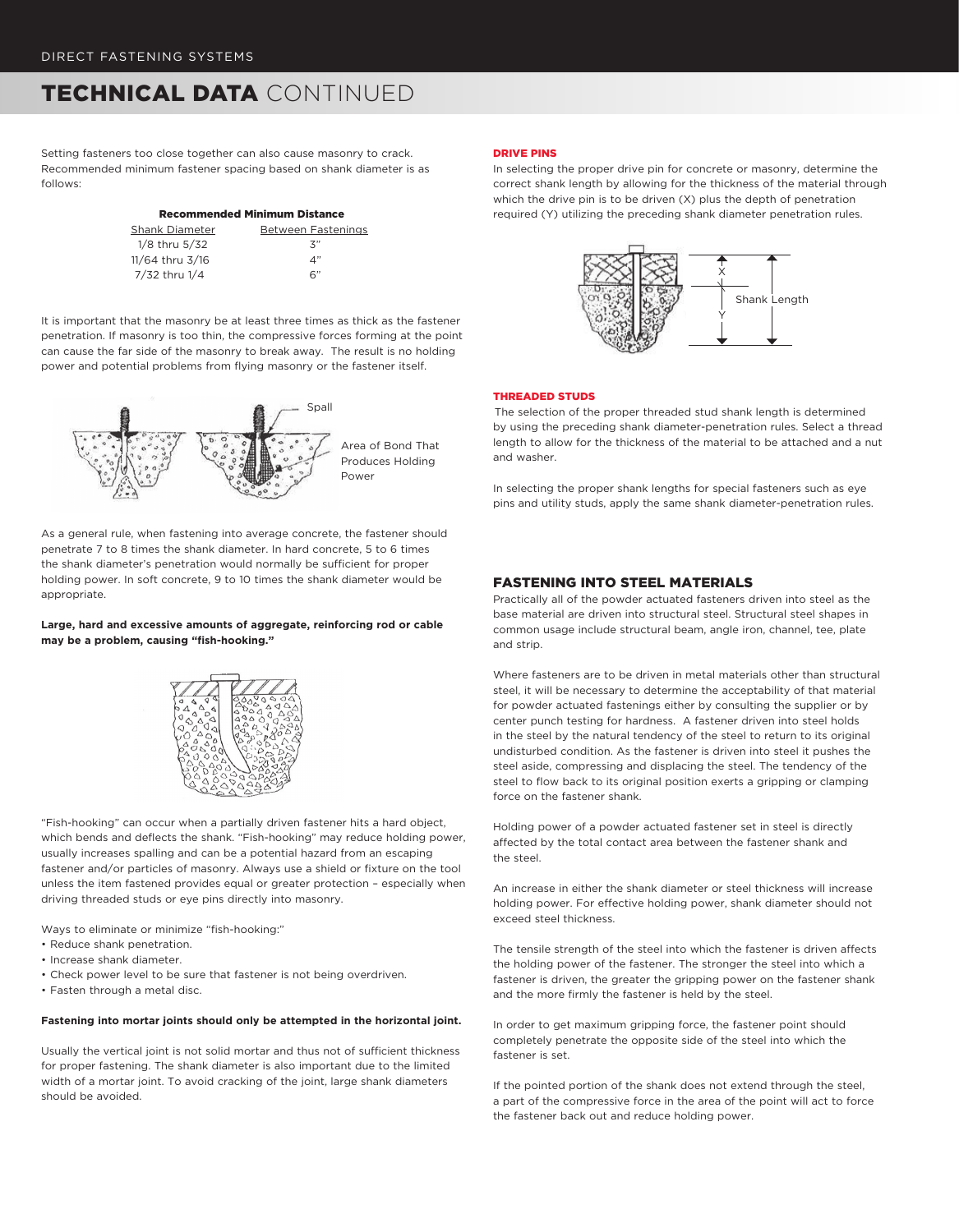# TECHNICAL DATA CONTINUED

Setting fasteners too close together can also cause masonry to crack. Recommended minimum fastener spacing based on shank diameter is as follows:

|                   | <b>Recommended Minimum Distance</b> |  |  |
|-------------------|-------------------------------------|--|--|
| Shank Diameter    | Between Fastenings                  |  |  |
| $1/8$ thru $5/32$ | 3"                                  |  |  |
| 11/64 thru 3/16   | 4"                                  |  |  |
| 7/32 thru 1/4     | 6"                                  |  |  |

It is important that the masonry be at least three times as thick as the fastener penetration. If masonry is too thin, the compressive forces forming at the point can cause the far side of the masonry to break away. The result is no holding power and potential problems from flying masonry or the fastener itself.



As a general rule, when fastening into average concrete, the fastener should penetrate 7 to 8 times the shank diameter. In hard concrete, 5 to 6 times the shank diameter's penetration would normally be sufficient for proper holding power. In soft concrete, 9 to 10 times the shank diameter would be appropriate.

## **Large, hard and excessive amounts of aggregate, reinforcing rod or cable may be a problem, causing "fish-hooking."**



"Fish-hooking" can occur when a partially driven fastener hits a hard object, which bends and deflects the shank. "Fish-hooking" may reduce holding power, usually increases spalling and can be a potential hazard from an escaping fastener and/or particles of masonry. Always use a shield or fixture on the tool unless the item fastened provides equal or greater protection – especially when driving threaded studs or eye pins directly into masonry.

Ways to eliminate or minimize "fish-hooking:"

- Reduce shank penetration.
- Increase shank diameter.
- Check power level to be sure that fastener is not being overdriven.
- Fasten through a metal disc.

#### **Fastening into mortar joints should only be attempted in the horizontal joint.**

Usually the vertical joint is not solid mortar and thus not of sufficient thickness for proper fastening. The shank diameter is also important due to the limited width of a mortar joint. To avoid cracking of the joint, large shank diameters should be avoided.

#### DRIVE PINS

In selecting the proper drive pin for concrete or masonry, determine the correct shank length by allowing for the thickness of the material through which the drive pin is to be driven (X) plus the depth of penetration required (Y) utilizing the preceding shank diameter penetration rules.



## THREADED STUDS

The selection of the proper threaded stud shank length is determined by using the preceding shank diameter-penetration rules. Select a thread length to allow for the thickness of the material to be attached and a nut and washer.

In selecting the proper shank lengths for special fasteners such as eye pins and utility studs, apply the same shank diameter-penetration rules.

## FASTENING INTO STEEL MATERIALS

Practically all of the powder actuated fasteners driven into steel as the base material are driven into structural steel. Structural steel shapes in common usage include structural beam, angle iron, channel, tee, plate and strip.

Where fasteners are to be driven in metal materials other than structural steel, it will be necessary to determine the acceptability of that material for powder actuated fastenings either by consulting the supplier or by center punch testing for hardness. A fastener driven into steel holds in the steel by the natural tendency of the steel to return to its original undisturbed condition. As the fastener is driven into steel it pushes the steel aside, compressing and displacing the steel. The tendency of the steel to flow back to its original position exerts a gripping or clamping force on the fastener shank.

Holding power of a powder actuated fastener set in steel is directly affected by the total contact area between the fastener shank and the steel.

An increase in either the shank diameter or steel thickness will increase holding power. For effective holding power, shank diameter should not exceed steel thickness.

The tensile strength of the steel into which the fastener is driven affects the holding power of the fastener. The stronger the steel into which a fastener is driven, the greater the gripping power on the fastener shank and the more firmly the fastener is held by the steel.

In order to get maximum gripping force, the fastener point should completely penetrate the opposite side of the steel into which the fastener is set.

If the pointed portion of the shank does not extend through the steel, a part of the compressive force in the area of the point will act to force the fastener back out and reduce holding power.